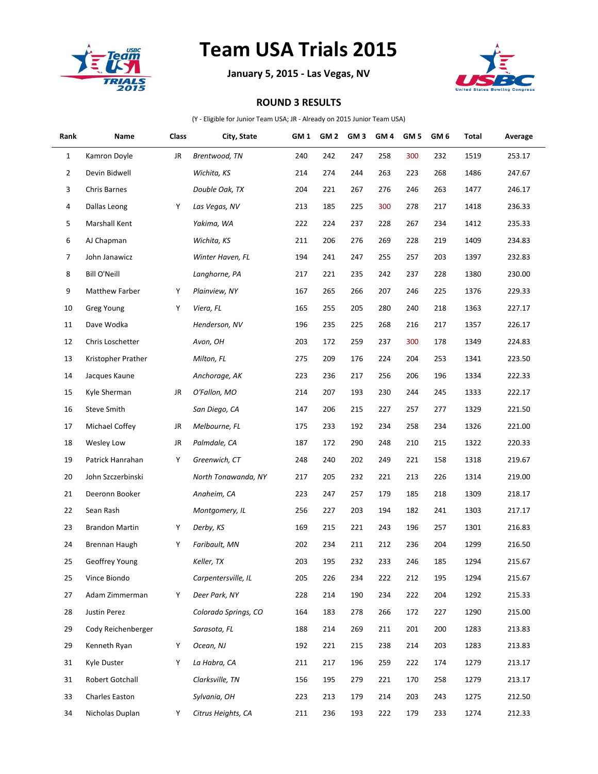

## **Team USA Trials 2015**

**January 5, 2015 - Las Vegas, NV**



## **ROUND 3 RESULTS**

(Y - Eligible for Junior Team USA; JR - Already on 2015 Junior Team USA)

| Rank | Name                  | Class | City, State          | GM 1 | GM <sub>2</sub> | GM <sub>3</sub> | GM <sub>4</sub> | GM <sub>5</sub> | GM <sub>6</sub> | Total | Average |
|------|-----------------------|-------|----------------------|------|-----------------|-----------------|-----------------|-----------------|-----------------|-------|---------|
| 1    | Kamron Doyle          | JR    | Brentwood, TN        | 240  | 242             | 247             | 258             | 300             | 232             | 1519  | 253.17  |
| 2    | Devin Bidwell         |       | Wichita, KS          | 214  | 274             | 244             | 263             | 223             | 268             | 1486  | 247.67  |
| 3    | <b>Chris Barnes</b>   |       | Double Oak, TX       | 204  | 221             | 267             | 276             | 246             | 263             | 1477  | 246.17  |
| 4    | Dallas Leong          | Υ     | Las Vegas, NV        | 213  | 185             | 225             | 300             | 278             | 217             | 1418  | 236.33  |
| 5    | Marshall Kent         |       | Yakima, WA           | 222  | 224             | 237             | 228             | 267             | 234             | 1412  | 235.33  |
| 6    | AJ Chapman            |       | Wichita, KS          | 211  | 206             | 276             | 269             | 228             | 219             | 1409  | 234.83  |
| 7    | John Janawicz         |       | Winter Haven, FL     | 194  | 241             | 247             | 255             | 257             | 203             | 1397  | 232.83  |
| 8    | <b>Bill O'Neill</b>   |       | Langhorne, PA        | 217  | 221             | 235             | 242             | 237             | 228             | 1380  | 230.00  |
| 9    | <b>Matthew Farber</b> | Υ     | Plainview, NY        | 167  | 265             | 266             | 207             | 246             | 225             | 1376  | 229.33  |
| 10   | <b>Greg Young</b>     | Y     | Viera, FL            | 165  | 255             | 205             | 280             | 240             | 218             | 1363  | 227.17  |
| 11   | Dave Wodka            |       | Henderson, NV        | 196  | 235             | 225             | 268             | 216             | 217             | 1357  | 226.17  |
| 12   | Chris Loschetter      |       | Avon, OH             | 203  | 172             | 259             | 237             | 300             | 178             | 1349  | 224.83  |
| 13   | Kristopher Prather    |       | Milton, FL           | 275  | 209             | 176             | 224             | 204             | 253             | 1341  | 223.50  |
| 14   | Jacques Kaune         |       | Anchorage, AK        | 223  | 236             | 217             | 256             | 206             | 196             | 1334  | 222.33  |
| 15   | Kyle Sherman          | JR    | O'Fallon, MO         | 214  | 207             | 193             | 230             | 244             | 245             | 1333  | 222.17  |
| 16   | <b>Steve Smith</b>    |       | San Diego, CA        | 147  | 206             | 215             | 227             | 257             | 277             | 1329  | 221.50  |
| 17   | Michael Coffey        | JR    | Melbourne, FL        | 175  | 233             | 192             | 234             | 258             | 234             | 1326  | 221.00  |
| 18   | <b>Wesley Low</b>     | JR    | Palmdale, CA         | 187  | 172             | 290             | 248             | 210             | 215             | 1322  | 220.33  |
| 19   | Patrick Hanrahan      | Y     | Greenwich, CT        | 248  | 240             | 202             | 249             | 221             | 158             | 1318  | 219.67  |
| 20   | John Szczerbinski     |       | North Tonawanda, NY  | 217  | 205             | 232             | 221             | 213             | 226             | 1314  | 219.00  |
| 21   | Deeronn Booker        |       | Anaheim, CA          | 223  | 247             | 257             | 179             | 185             | 218             | 1309  | 218.17  |
| 22   | Sean Rash             |       | Montgomery, IL       | 256  | 227             | 203             | 194             | 182             | 241             | 1303  | 217.17  |
| 23   | <b>Brandon Martin</b> | Υ     | Derby, KS            | 169  | 215             | 221             | 243             | 196             | 257             | 1301  | 216.83  |
| 24   | Brennan Haugh         | Υ     | Faribault, MN        | 202  | 234             | 211             | 212             | 236             | 204             | 1299  | 216.50  |
| 25   | Geoffrey Young        |       | Keller, TX           | 203  | 195             | 232             | 233             | 246             | 185             | 1294  | 215.67  |
| 25   | Vince Biondo          |       | Carpentersville, IL  | 205  | 226             | 234             | 222             | 212             | 195             | 1294  | 215.67  |
| 27   | Adam Zimmerman        | Y     | Deer Park, NY        | 228  | 214             | 190             | 234             | 222             | 204             | 1292  | 215.33  |
| 28   | Justin Perez          |       | Colorado Springs, CO | 164  | 183             | 278             | 266             | 172             | 227             | 1290  | 215.00  |
| 29   | Cody Reichenberger    |       | Sarasota, FL         | 188  | 214             | 269             | 211             | 201             | 200             | 1283  | 213.83  |
| 29   | Kenneth Ryan          | Υ     | Ocean, NJ            | 192  | 221             | 215             | 238             | 214             | 203             | 1283  | 213.83  |
| 31   | Kyle Duster           | Y     | La Habra, CA         | 211  | 217             | 196             | 259             | 222             | 174             | 1279  | 213.17  |
| 31   | Robert Gotchall       |       | Clarksville, TN      | 156  | 195             | 279             | 221             | 170             | 258             | 1279  | 213.17  |
| 33   | Charles Easton        |       | Sylvania, OH         | 223  | 213             | 179             | 214             | 203             | 243             | 1275  | 212.50  |
| 34   | Nicholas Duplan       | Υ     | Citrus Heights, CA   | 211  | 236             | 193             | 222             | 179             | 233             | 1274  | 212.33  |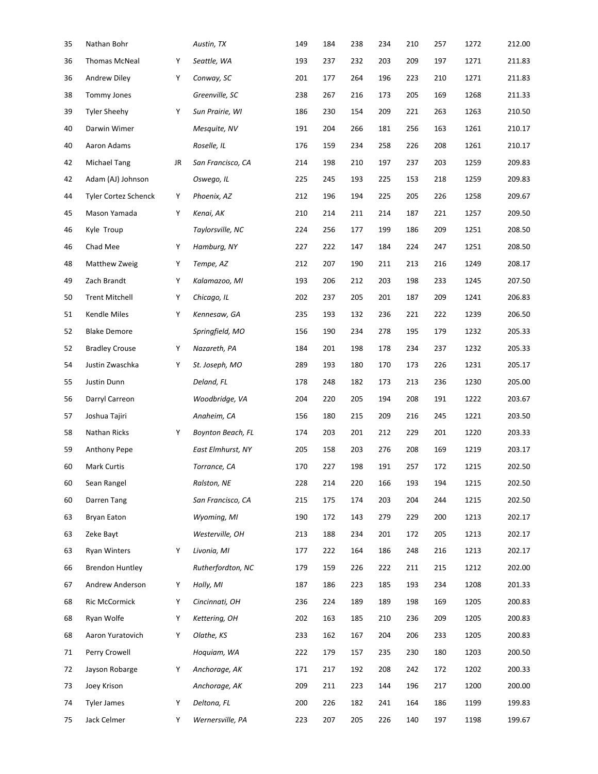| 35 | Nathan Bohr            |    | Austin, TX               | 149 | 184 | 238 | 234 | 210 | 257 | 1272 | 212.00 |
|----|------------------------|----|--------------------------|-----|-----|-----|-----|-----|-----|------|--------|
| 36 | <b>Thomas McNeal</b>   | Υ  | Seattle, WA              | 193 | 237 | 232 | 203 | 209 | 197 | 1271 | 211.83 |
| 36 | Andrew Diley           | Υ  | Conway, SC               | 201 | 177 | 264 | 196 | 223 | 210 | 1271 | 211.83 |
| 38 | <b>Tommy Jones</b>     |    | Greenville, SC           | 238 | 267 | 216 | 173 | 205 | 169 | 1268 | 211.33 |
| 39 | <b>Tyler Sheehy</b>    | Υ  | Sun Prairie, WI          | 186 | 230 | 154 | 209 | 221 | 263 | 1263 | 210.50 |
| 40 | Darwin Wimer           |    | Mesquite, NV             | 191 | 204 | 266 | 181 | 256 | 163 | 1261 | 210.17 |
| 40 | Aaron Adams            |    | Roselle, IL              | 176 | 159 | 234 | 258 | 226 | 208 | 1261 | 210.17 |
| 42 | Michael Tang           | JR | San Francisco, CA        | 214 | 198 | 210 | 197 | 237 | 203 | 1259 | 209.83 |
| 42 | Adam (AJ) Johnson      |    | Oswego, IL               | 225 | 245 | 193 | 225 | 153 | 218 | 1259 | 209.83 |
| 44 | Tyler Cortez Schenck   | Υ  | Phoenix, AZ              | 212 | 196 | 194 | 225 | 205 | 226 | 1258 | 209.67 |
| 45 | Mason Yamada           | Υ  | Kenai, AK                | 210 | 214 | 211 | 214 | 187 | 221 | 1257 | 209.50 |
| 46 | Kyle Troup             |    | Taylorsville, NC         | 224 | 256 | 177 | 199 | 186 | 209 | 1251 | 208.50 |
| 46 | Chad Mee               | Υ  | Hamburg, NY              | 227 | 222 | 147 | 184 | 224 | 247 | 1251 | 208.50 |
| 48 | Matthew Zweig          | Υ  | Tempe, AZ                | 212 | 207 | 190 | 211 | 213 | 216 | 1249 | 208.17 |
| 49 | Zach Brandt            | Υ  | Kalamazoo, MI            | 193 | 206 | 212 | 203 | 198 | 233 | 1245 | 207.50 |
| 50 | <b>Trent Mitchell</b>  | Υ  | Chicago, IL              | 202 | 237 | 205 | 201 | 187 | 209 | 1241 | 206.83 |
| 51 | <b>Kendle Miles</b>    | Υ  | Kennesaw, GA             | 235 | 193 | 132 | 236 | 221 | 222 | 1239 | 206.50 |
| 52 | <b>Blake Demore</b>    |    | Springfield, MO          | 156 | 190 | 234 | 278 | 195 | 179 | 1232 | 205.33 |
| 52 | <b>Bradley Crouse</b>  | Υ  | Nazareth, PA             | 184 | 201 | 198 | 178 | 234 | 237 | 1232 | 205.33 |
| 54 | Justin Zwaschka        | Υ  | St. Joseph, MO           | 289 | 193 | 180 | 170 | 173 | 226 | 1231 | 205.17 |
| 55 | Justin Dunn            |    | Deland, FL               | 178 | 248 | 182 | 173 | 213 | 236 | 1230 | 205.00 |
| 56 | Darryl Carreon         |    | Woodbridge, VA           | 204 | 220 | 205 | 194 | 208 | 191 | 1222 | 203.67 |
| 57 | Joshua Tajiri          |    | Anaheim, CA              | 156 | 180 | 215 | 209 | 216 | 245 | 1221 | 203.50 |
| 58 | Nathan Ricks           | Υ  | <b>Boynton Beach, FL</b> | 174 | 203 | 201 | 212 | 229 | 201 | 1220 | 203.33 |
| 59 | Anthony Pepe           |    | East Elmhurst, NY        | 205 | 158 | 203 | 276 | 208 | 169 | 1219 | 203.17 |
| 60 | Mark Curtis            |    | Torrance, CA             | 170 | 227 | 198 | 191 | 257 | 172 | 1215 | 202.50 |
| 60 | Sean Rangel            |    | Ralston, NE              | 228 | 214 | 220 | 166 | 193 | 194 | 1215 | 202.50 |
| 60 | Darren Tang            |    | San Francisco, CA        | 215 | 175 | 174 | 203 | 204 | 244 | 1215 | 202.50 |
| 63 | Bryan Eaton            |    | Wyoming, MI              | 190 | 172 | 143 | 279 | 229 | 200 | 1213 | 202.17 |
| 63 | Zeke Bayt              |    | Westerville, OH          | 213 | 188 | 234 | 201 | 172 | 205 | 1213 | 202.17 |
| 63 | <b>Ryan Winters</b>    | Υ  | Livonia, MI              | 177 | 222 | 164 | 186 | 248 | 216 | 1213 | 202.17 |
| 66 | <b>Brendon Huntley</b> |    | Rutherfordton, NC        | 179 | 159 | 226 | 222 | 211 | 215 | 1212 | 202.00 |
| 67 | Andrew Anderson        | Υ  | Holly, MI                | 187 | 186 | 223 | 185 | 193 | 234 | 1208 | 201.33 |
| 68 | Ric McCormick          | Υ  | Cincinnati, OH           | 236 | 224 | 189 | 189 | 198 | 169 | 1205 | 200.83 |
| 68 | Ryan Wolfe             | Υ  | Kettering, OH            | 202 | 163 | 185 | 210 | 236 | 209 | 1205 | 200.83 |
| 68 | Aaron Yuratovich       | Υ  | Olathe, KS               | 233 | 162 | 167 | 204 | 206 | 233 | 1205 | 200.83 |
| 71 | Perry Crowell          |    | Hoquiam, WA              | 222 | 179 | 157 | 235 | 230 | 180 | 1203 | 200.50 |
| 72 | Jayson Robarge         | Υ  | Anchorage, AK            | 171 | 217 | 192 | 208 | 242 | 172 | 1202 | 200.33 |
| 73 | Joey Krison            |    | Anchorage, AK            | 209 | 211 | 223 | 144 | 196 | 217 | 1200 | 200.00 |
| 74 | <b>Tyler James</b>     | Υ  | Deltona, FL              | 200 | 226 | 182 | 241 | 164 | 186 | 1199 | 199.83 |
| 75 | Jack Celmer            | Υ  | Wernersville, PA         | 223 | 207 | 205 | 226 | 140 | 197 | 1198 | 199.67 |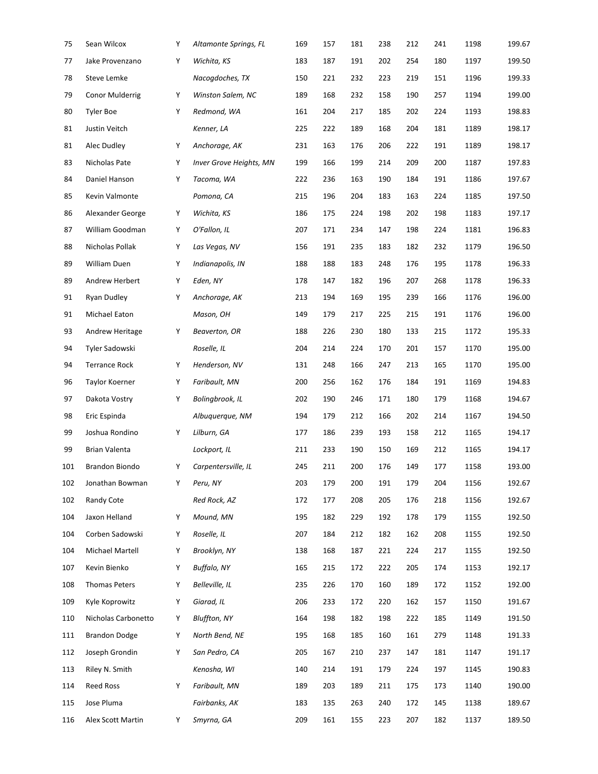| 75  | Sean Wilcox            | Υ | Altamonte Springs, FL   | 169 | 157 | 181 | 238 | 212 | 241 | 1198 | 199.67 |
|-----|------------------------|---|-------------------------|-----|-----|-----|-----|-----|-----|------|--------|
| 77  | Jake Provenzano        | Υ | Wichita, KS             | 183 | 187 | 191 | 202 | 254 | 180 | 1197 | 199.50 |
| 78  | Steve Lemke            |   | Nacogdoches, TX         | 150 | 221 | 232 | 223 | 219 | 151 | 1196 | 199.33 |
| 79  | <b>Conor Mulderrig</b> | Υ | Winston Salem, NC       | 189 | 168 | 232 | 158 | 190 | 257 | 1194 | 199.00 |
| 80  | <b>Tyler Boe</b>       | Υ | Redmond, WA             | 161 | 204 | 217 | 185 | 202 | 224 | 1193 | 198.83 |
| 81  | Justin Veitch          |   | Kenner, LA              | 225 | 222 | 189 | 168 | 204 | 181 | 1189 | 198.17 |
| 81  | Alec Dudley            | Υ | Anchorage, AK           | 231 | 163 | 176 | 206 | 222 | 191 | 1189 | 198.17 |
| 83  | Nicholas Pate          | Υ | Inver Grove Heights, MN | 199 | 166 | 199 | 214 | 209 | 200 | 1187 | 197.83 |
| 84  | Daniel Hanson          | Υ | Tacoma, WA              | 222 | 236 | 163 | 190 | 184 | 191 | 1186 | 197.67 |
| 85  | Kevin Valmonte         |   | Pomona, CA              | 215 | 196 | 204 | 183 | 163 | 224 | 1185 | 197.50 |
| 86  | Alexander George       | Υ | Wichita, KS             | 186 | 175 | 224 | 198 | 202 | 198 | 1183 | 197.17 |
| 87  | William Goodman        | Υ | O'Fallon, IL            | 207 | 171 | 234 | 147 | 198 | 224 | 1181 | 196.83 |
| 88  | Nicholas Pollak        | Υ | Las Vegas, NV           | 156 | 191 | 235 | 183 | 182 | 232 | 1179 | 196.50 |
| 89  | William Duen           | Υ | Indianapolis, IN        | 188 | 188 | 183 | 248 | 176 | 195 | 1178 | 196.33 |
| 89  | Andrew Herbert         | Υ | Eden, NY                | 178 | 147 | 182 | 196 | 207 | 268 | 1178 | 196.33 |
| 91  | Ryan Dudley            | Υ | Anchorage, AK           | 213 | 194 | 169 | 195 | 239 | 166 | 1176 | 196.00 |
| 91  | Michael Eaton          |   | Mason, OH               | 149 | 179 | 217 | 225 | 215 | 191 | 1176 | 196.00 |
| 93  | Andrew Heritage        | Υ | Beaverton, OR           | 188 | 226 | 230 | 180 | 133 | 215 | 1172 | 195.33 |
| 94  | Tyler Sadowski         |   | Roselle, IL             | 204 | 214 | 224 | 170 | 201 | 157 | 1170 | 195.00 |
| 94  | <b>Terrance Rock</b>   | Υ | Henderson, NV           | 131 | 248 | 166 | 247 | 213 | 165 | 1170 | 195.00 |
| 96  | Taylor Koerner         | Υ | Faribault, MN           | 200 | 256 | 162 | 176 | 184 | 191 | 1169 | 194.83 |
| 97  | Dakota Vostry          | Υ | Bolingbrook, IL         | 202 | 190 | 246 | 171 | 180 | 179 | 1168 | 194.67 |
| 98  | Eric Espinda           |   | Albuguergue, NM         | 194 | 179 | 212 | 166 | 202 | 214 | 1167 | 194.50 |
| 99  | Joshua Rondino         | Y | Lilburn, GA             | 177 | 186 | 239 | 193 | 158 | 212 | 1165 | 194.17 |
| 99  | Brian Valenta          |   | Lockport, IL            | 211 | 233 | 190 | 150 | 169 | 212 | 1165 | 194.17 |
| 101 | Brandon Biondo         | Υ | Carpentersville, IL     | 245 | 211 | 200 | 176 | 149 | 177 | 1158 | 193.00 |
| 102 | Jonathan Bowman        | Υ | Peru, NY                | 203 | 179 | 200 | 191 | 179 | 204 | 1156 | 192.67 |
| 102 | Randy Cote             |   | Red Rock, AZ            | 172 | 177 | 208 | 205 | 176 | 218 | 1156 | 192.67 |
| 104 | Jaxon Helland          | Υ | Mound, MN               | 195 | 182 | 229 | 192 | 178 | 179 | 1155 | 192.50 |
| 104 | Corben Sadowski        | Υ | Roselle, IL             | 207 | 184 | 212 | 182 | 162 | 208 | 1155 | 192.50 |
| 104 | Michael Martell        | Υ | Brooklyn, NY            | 138 | 168 | 187 | 221 | 224 | 217 | 1155 | 192.50 |
| 107 | Kevin Bienko           | Υ | <b>Buffalo, NY</b>      | 165 | 215 | 172 | 222 | 205 | 174 | 1153 | 192.17 |
| 108 | <b>Thomas Peters</b>   | Υ | Belleville, IL          | 235 | 226 | 170 | 160 | 189 | 172 | 1152 | 192.00 |
| 109 | Kyle Koprowitz         | Υ | Giarad, IL              | 206 | 233 | 172 | 220 | 162 | 157 | 1150 | 191.67 |
| 110 | Nicholas Carbonetto    | Υ | <b>Bluffton, NY</b>     | 164 | 198 | 182 | 198 | 222 | 185 | 1149 | 191.50 |
| 111 | <b>Brandon Dodge</b>   | Υ | North Bend, NE          | 195 | 168 | 185 | 160 | 161 | 279 | 1148 | 191.33 |
| 112 | Joseph Grondin         | Υ | San Pedro, CA           | 205 | 167 | 210 | 237 | 147 | 181 | 1147 | 191.17 |
| 113 | Riley N. Smith         |   | Kenosha, WI             | 140 | 214 | 191 | 179 | 224 | 197 | 1145 | 190.83 |
| 114 | <b>Reed Ross</b>       | Υ | Faribault, MN           | 189 | 203 | 189 | 211 | 175 | 173 | 1140 | 190.00 |
| 115 | Jose Pluma             |   | Fairbanks, AK           | 183 | 135 | 263 | 240 | 172 | 145 | 1138 | 189.67 |
| 116 | Alex Scott Martin      | Y | Smyrna, GA              | 209 | 161 | 155 | 223 | 207 | 182 | 1137 | 189.50 |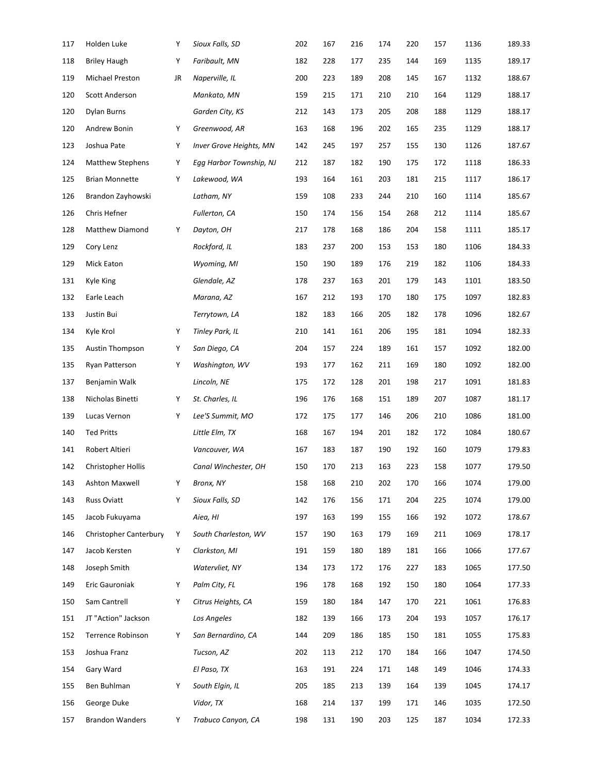| 117 | Holden Luke                   | Υ  | Sioux Falls, SD         | 202 | 167 | 216 | 174 | 220 | 157 | 1136 | 189.33 |
|-----|-------------------------------|----|-------------------------|-----|-----|-----|-----|-----|-----|------|--------|
| 118 | <b>Briley Haugh</b>           | Υ  | Faribault, MN           | 182 | 228 | 177 | 235 | 144 | 169 | 1135 | 189.17 |
| 119 | Michael Preston               | JR | Naperville, IL          | 200 | 223 | 189 | 208 | 145 | 167 | 1132 | 188.67 |
| 120 | Scott Anderson                |    | Mankato, MN             | 159 | 215 | 171 | 210 | 210 | 164 | 1129 | 188.17 |
| 120 | <b>Dylan Burns</b>            |    | Garden City, KS         | 212 | 143 | 173 | 205 | 208 | 188 | 1129 | 188.17 |
| 120 | Andrew Bonin                  | Υ  | Greenwood, AR           | 163 | 168 | 196 | 202 | 165 | 235 | 1129 | 188.17 |
| 123 | Joshua Pate                   | Υ  | Inver Grove Heights, MN | 142 | 245 | 197 | 257 | 155 | 130 | 1126 | 187.67 |
| 124 | <b>Matthew Stephens</b>       | Υ  | Egg Harbor Township, NJ | 212 | 187 | 182 | 190 | 175 | 172 | 1118 | 186.33 |
| 125 | <b>Brian Monnette</b>         | Υ  | Lakewood, WA            | 193 | 164 | 161 | 203 | 181 | 215 | 1117 | 186.17 |
| 126 | Brandon Zayhowski             |    | Latham, NY              | 159 | 108 | 233 | 244 | 210 | 160 | 1114 | 185.67 |
| 126 | Chris Hefner                  |    | Fullerton, CA           | 150 | 174 | 156 | 154 | 268 | 212 | 1114 | 185.67 |
| 128 | Matthew Diamond               | Υ  | Dayton, OH              | 217 | 178 | 168 | 186 | 204 | 158 | 1111 | 185.17 |
| 129 | Cory Lenz                     |    | Rockford, IL            | 183 | 237 | 200 | 153 | 153 | 180 | 1106 | 184.33 |
| 129 | Mick Eaton                    |    | Wyoming, MI             | 150 | 190 | 189 | 176 | 219 | 182 | 1106 | 184.33 |
| 131 | Kyle King                     |    | Glendale, AZ            | 178 | 237 | 163 | 201 | 179 | 143 | 1101 | 183.50 |
| 132 | Earle Leach                   |    | Marana, AZ              | 167 | 212 | 193 | 170 | 180 | 175 | 1097 | 182.83 |
| 133 | Justin Bui                    |    | Terrytown, LA           | 182 | 183 | 166 | 205 | 182 | 178 | 1096 | 182.67 |
| 134 | Kyle Krol                     | Υ  | Tinley Park, IL         | 210 | 141 | 161 | 206 | 195 | 181 | 1094 | 182.33 |
| 135 | Austin Thompson               | Υ  | San Diego, CA           | 204 | 157 | 224 | 189 | 161 | 157 | 1092 | 182.00 |
| 135 | Ryan Patterson                | Υ  | Washington, WV          | 193 | 177 | 162 | 211 | 169 | 180 | 1092 | 182.00 |
| 137 | Benjamin Walk                 |    | Lincoln, NE             | 175 | 172 | 128 | 201 | 198 | 217 | 1091 | 181.83 |
| 138 | Nicholas Binetti              | Υ  | St. Charles, IL         | 196 | 176 | 168 | 151 | 189 | 207 | 1087 | 181.17 |
| 139 | Lucas Vernon                  | Υ  | Lee'S Summit, MO        | 172 | 175 | 177 | 146 | 206 | 210 | 1086 | 181.00 |
| 140 | <b>Ted Pritts</b>             |    | Little Elm, TX          | 168 | 167 | 194 | 201 | 182 | 172 | 1084 | 180.67 |
| 141 | Robert Altieri                |    | Vancouver, WA           | 167 | 183 | 187 | 190 | 192 | 160 | 1079 | 179.83 |
| 142 | <b>Christopher Hollis</b>     |    | Canal Winchester, OH    | 150 | 170 | 213 | 163 | 223 | 158 | 1077 | 179.50 |
| 143 | Ashton Maxwell                | Υ  | Bronx, NY               | 158 | 168 | 210 | 202 | 170 | 166 | 1074 | 179.00 |
| 143 | <b>Russ Oviatt</b>            | Υ  | Sioux Falls, SD         | 142 | 176 | 156 | 171 | 204 | 225 | 1074 | 179.00 |
| 145 | Jacob Fukuyama                |    | Aiea, HI                | 197 | 163 | 199 | 155 | 166 | 192 | 1072 | 178.67 |
| 146 | <b>Christopher Canterbury</b> | Υ  | South Charleston, WV    | 157 | 190 | 163 | 179 | 169 | 211 | 1069 | 178.17 |
| 147 | Jacob Kersten                 | Υ  | Clarkston, MI           | 191 | 159 | 180 | 189 | 181 | 166 | 1066 | 177.67 |
| 148 | Joseph Smith                  |    | Watervliet, NY          | 134 | 173 | 172 | 176 | 227 | 183 | 1065 | 177.50 |
| 149 | Eric Gauroniak                | Υ  | Palm City, FL           | 196 | 178 | 168 | 192 | 150 | 180 | 1064 | 177.33 |
| 150 | Sam Cantrell                  | Υ  | Citrus Heights, CA      | 159 | 180 | 184 | 147 | 170 | 221 | 1061 | 176.83 |
| 151 | JT "Action" Jackson           |    | Los Angeles             | 182 | 139 | 166 | 173 | 204 | 193 | 1057 | 176.17 |
| 152 | Terrence Robinson             | Υ  | San Bernardino, CA      | 144 | 209 | 186 | 185 | 150 | 181 | 1055 | 175.83 |
| 153 | Joshua Franz                  |    | Tucson, AZ              | 202 | 113 | 212 | 170 | 184 | 166 | 1047 | 174.50 |
| 154 | Gary Ward                     |    | El Paso, TX             | 163 | 191 | 224 | 171 | 148 | 149 | 1046 | 174.33 |
| 155 | Ben Buhlman                   | Υ  | South Elgin, IL         | 205 | 185 | 213 | 139 | 164 | 139 | 1045 | 174.17 |
| 156 | George Duke                   |    | Vidor, TX               | 168 | 214 | 137 | 199 | 171 | 146 | 1035 | 172.50 |
| 157 | <b>Brandon Wanders</b>        | Y  | Trabuco Canyon, CA      | 198 | 131 | 190 | 203 | 125 | 187 | 1034 | 172.33 |